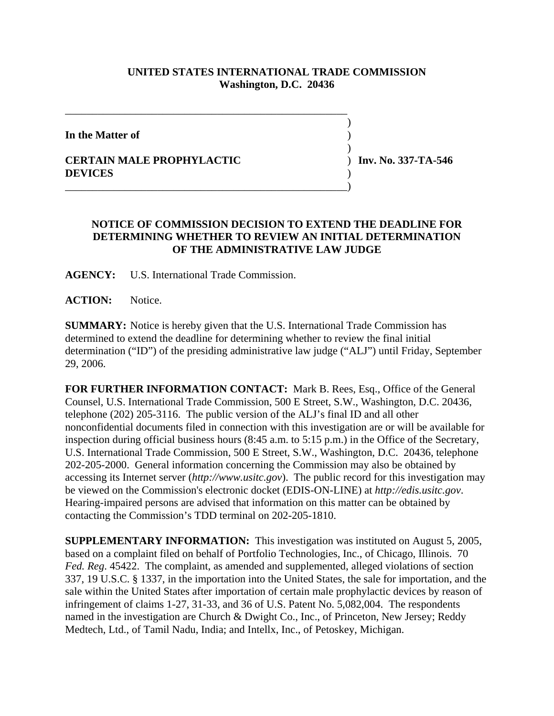## **UNITED STATES INTERNATIONAL TRADE COMMISSION Washington, D.C. 20436**

 $\overline{\phantom{a}}$ 

 $\overline{\phantom{a}}$ 

**In the Matter of** )

## **CERTAIN MALE PROPHYLACTIC** ) **Inv. No. 337-TA-546 DEVICES** )

## **NOTICE OF COMMISSION DECISION TO EXTEND THE DEADLINE FOR DETERMINING WHETHER TO REVIEW AN INITIAL DETERMINATION OF THE ADMINISTRATIVE LAW JUDGE**

**AGENCY:** U.S. International Trade Commission.

\_\_\_\_\_\_\_\_\_\_\_\_\_\_\_\_\_\_\_\_\_\_\_\_\_\_\_\_\_\_\_\_\_\_\_\_\_\_\_\_\_\_\_\_\_\_\_\_\_\_\_\_

\_\_\_\_\_\_\_\_\_\_\_\_\_\_\_\_\_\_\_\_\_\_\_\_\_\_\_\_\_\_\_\_\_\_\_\_\_\_\_\_\_\_\_\_\_\_\_\_\_\_\_\_)

**ACTION:** Notice.

**SUMMARY:** Notice is hereby given that the U.S. International Trade Commission has determined to extend the deadline for determining whether to review the final initial determination ("ID") of the presiding administrative law judge ("ALJ") until Friday, September 29, 2006.

**FOR FURTHER INFORMATION CONTACT:** Mark B. Rees, Esq., Office of the General Counsel, U.S. International Trade Commission, 500 E Street, S.W., Washington, D.C. 20436, telephone (202) 205-3116. The public version of the ALJ's final ID and all other nonconfidential documents filed in connection with this investigation are or will be available for inspection during official business hours (8:45 a.m. to 5:15 p.m.) in the Office of the Secretary, U.S. International Trade Commission, 500 E Street, S.W., Washington, D.C. 20436, telephone 202-205-2000. General information concerning the Commission may also be obtained by accessing its Internet server (*http://www.usitc.gov*). The public record for this investigation may be viewed on the Commission's electronic docket (EDIS-ON-LINE) at *http://edis.usitc.gov*. Hearing-impaired persons are advised that information on this matter can be obtained by contacting the Commission's TDD terminal on 202-205-1810.

**SUPPLEMENTARY INFORMATION:** This investigation was instituted on August 5, 2005, based on a complaint filed on behalf of Portfolio Technologies, Inc., of Chicago, Illinois. 70 *Fed. Reg*. 45422. The complaint, as amended and supplemented, alleged violations of section 337, 19 U.S.C. § 1337, in the importation into the United States, the sale for importation, and the sale within the United States after importation of certain male prophylactic devices by reason of infringement of claims 1-27, 31-33, and 36 of U.S. Patent No. 5,082,004. The respondents named in the investigation are Church & Dwight Co., Inc., of Princeton, New Jersey; Reddy Medtech, Ltd., of Tamil Nadu, India; and Intellx, Inc., of Petoskey, Michigan.